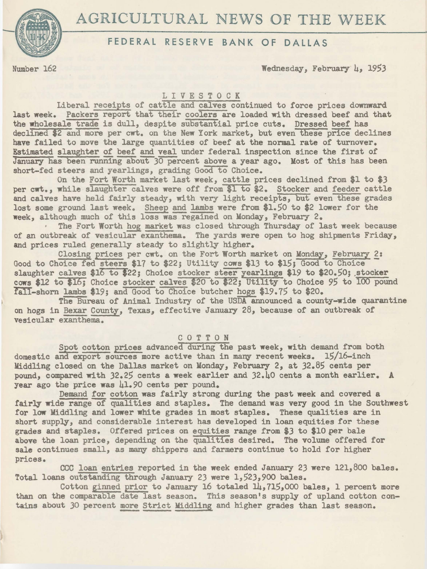# AGRICULTURAL NEWS OF THE WEEK



# FEDERAL RESERVE BANK OF DALLAS

Number 162 Wednesday, February 4, 1953

# LIVESTOCK

Liberal receipts of cattle and calves continued to force prices downward last week. Packers report that their coolers are loaded with dressed beef and that the wholesale trade is dull, despite substantial price cuts. Dressed beef has declined \$2 and more per cwt. on the New York market, but even these price declines have failed to move the large quantities of beef at the normal rate of turnover. Estimated slaughter of beef and veal under federal inspection since the first of January has been running about 30 percent above a year ago. Most of this has been short-fed steers and yearlings, grading Good to Choice.

On the Fort Worth market last week, cattle prices declined from \$1 to \$3 per cwt., while slaughter calves were off from \$1 to \$2. Stocker and feeder cattle and calves have held fairly steady, with very light receipts, but even these grades lost some ground last week. Sheep and lambs were from \$1.50 to \$2 lower for the week, although much of this loss was regained on Monday, February 2.

The Fort Worth hog market was closed through Thursday of last week because of an outbreak of vesicular exanthema. The yards were open to hog shipments Friday, and prices ruled generally steady to slightly higher.

Closing prices per cwt. on the Fort Worth market on Monday, February 2: Good to Choice fed steers \$17 to \$22; Utility cows \$13 to \$15; Good to Choice slaughter calves \$16 to \$22; Choice stocker steer yearlings \$19 to \$20.50; stocker cows \$12 to \$16; Choice stocker calves \$20 to \$22; Utility to Choice *95* to 100 pound fall-shorn lambs \$19: and Good to Choice butcher hogs \$19.75 to \$20.

The Bureau of Animal Industry of the USDA announced a county-wide quarantine on hogs in Bexar County, Texas, effective January 28, because of an outbreak of vesicular exanthema.

# C 0 T T 0 N

Spot cotton prices advanced during the past week, with demand from both domestic and export sources more active than in many recent weeks. 15/16-inch Middling closed on the Dallas market on Monday, February 2, at 32.85 cents per pound, compared with 32.25 cents a week earlier and 32.40 cents a month earlier. A year ago the price was 41.90 cents per pound.

Demand for cotton was fairly strong during the past week and covered a fairly wide range of qualities and staples. The demand was very good in the Southwest for low Middling and lower white grades in most staples. These qualities are in short supply, and considerable interest has developed in loan equities for these grades and staples. Offered prices on equities range from \$3 to \$10 per bale above the loan price, depending on the qualities desired. The volume offered for sale continues small, as many shippers and farmers continue to hold for higher prices.

CCC loan entries reported in the week ended January 23 were 121,800 bales. Total loans outstanding through January 23 were  $1,523,900$  bales.

Cotton ginned prior to January 16 totaled  $1/4$ , 715,000 bales, 1 percent more than on the comparable date last season. This season's supply of upland cotton contains about 30 percent more Strict Middling and higher grades than last season.